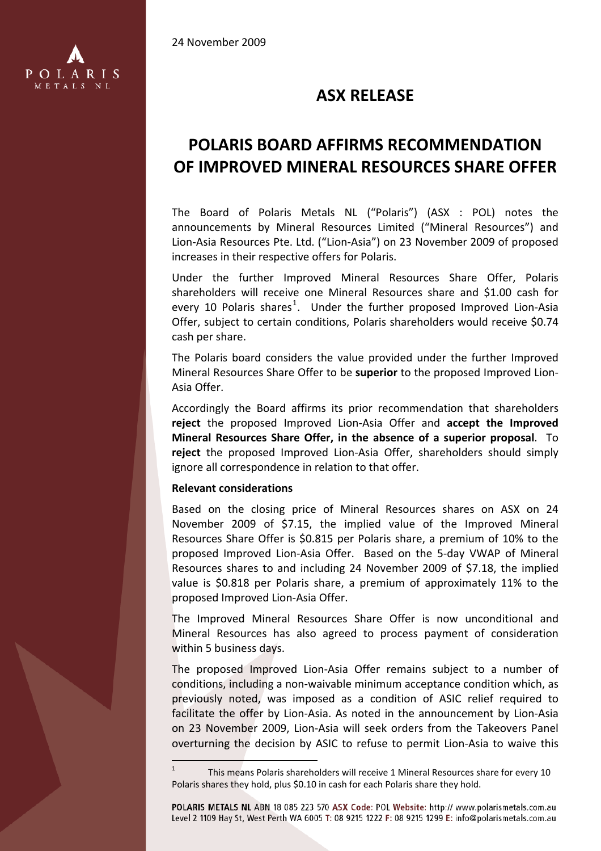24 November 2009



# **ASX RELEASE**

# **POLARIS BOARD AFFIRMS RECOMMENDATION OF IMPROVED MINERAL RESOURCES SHARE OFFER**

The Board of Polaris Metals NL ("Polaris") (ASX : POL) notes the announcements by Mineral Resources Limited ("Mineral Resources") and Lion‐Asia Resources Pte. Ltd. ("Lion‐Asia") on 23 November 2009 of proposed increases in their respective offers for Polaris.

Under the further Improved Mineral Resources Share Offer, Polaris shareholders will receive one Mineral Resources share and \$1.00 cash for every [1](#page-0-0)0 Polaris shares<sup>1</sup>. Under the further proposed Improved Lion-Asia Offer, subject to certain conditions, Polaris shareholders would receive \$0.74 cash per share.

The Polaris board considers the value provided under the further Improved Mineral Resources Share Offer to be **superior** to the proposed Improved Lion‐ Asia Offer.

Accordingly the Board affirms its prior recommendation that shareholders **reject** the proposed Improved Lion‐Asia Offer and **accept the Improved Mineral Resources Share Offer, in the absence of a superior proposal**. To **reject** the proposed Improved Lion‐Asia Offer, shareholders should simply ignore all correspondence in relation to that offer.

#### **Relevant considerations**

i<br>L

Based on the closing price of Mineral Resources shares on ASX on 24 November 2009 of \$7.15, the implied value of the Improved Mineral Resources Share Offer is \$0.815 per Polaris share, a premium of 10% to the proposed Improved Lion‐Asia Offer. Based on the 5‐day VWAP of Mineral Resources shares to and including 24 November 2009 of \$7.18, the implied value is \$0.818 per Polaris share, a premium of approximately 11% to the proposed Improved Lion‐Asia Offer.

The Improved Mineral Resources Share Offer is now unconditional and Mineral Resources has also agreed to process payment of consideration within 5 business days.

The proposed Improved Lion‐Asia Offer remains subject to a number of conditions, including a non‐waivable minimum acceptance condition which, as previously noted, was imposed as a condition of ASIC relief required to facilitate the offer by Lion‐Asia. As noted in the announcement by Lion‐Asia on 23 November 2009, Lion‐Asia will seek orders from the Takeovers Panel overturning the decision by ASIC to refuse to permit Lion‐Asia to waive this

POLARIS METALS NL ABN 18 085 223 570 ASX Code: POL Website: http:// www.polarismetals.com.au Level 2 1109 Hay St. West Perth WA 6005 T: 08 9215 1222 F: 08 9215 1299 E: info@polarismetals.com.au

<span id="page-0-0"></span><sup>1</sup> This means Polaris shareholders will receive 1 Mineral Resources share for every 10 Polaris shares they hold, plus \$0.10 in cash for each Polaris share they hold.